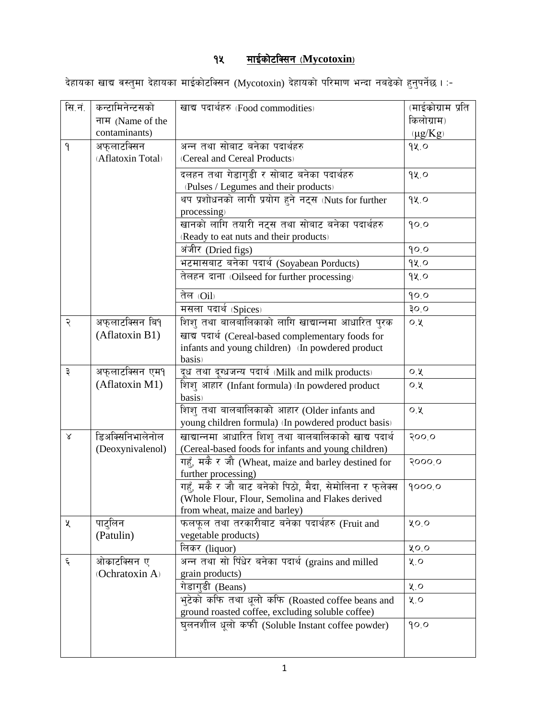## १५ <u>माईकोटक्सिन (Mycotoxin)</u>

देहायका खाद्य वस्तुमा देहायका माईकोटक्सिन (Mycotoxin) देहायको परिमाण भन्दा नबढेको हुनुपर्नेछ । :-

| सि.नं.       | कन्टामिनेन्टसको   | खाद्य पदार्थहरु (Food commodities)                                                                     | (माईकोग्राम प्रति |
|--------------|-------------------|--------------------------------------------------------------------------------------------------------|-------------------|
|              | नाम (Name of the  |                                                                                                        | किलोग्राम)        |
|              | contaminants)     |                                                                                                        | $(\mu g/Kg)$      |
| $\mathsf{P}$ | अफुलाटक्सिन       | अन्न तथा सोबाट बनेका पदार्थहरु                                                                         | 92.0              |
|              | (Aflatoxin Total) | (Cereal and Cereal Products)                                                                           |                   |
|              |                   | दलहन तथा गेडागुडी र सोबाट बनेका पदार्थहरु                                                              | 9x.0              |
|              |                   | (Pulses / Legumes and their products)                                                                  |                   |
|              |                   | थप प्रशोधनको लागी प्रयोग हुने नट्स (Nuts for further                                                   | 9x.0              |
|              |                   | processing)                                                                                            |                   |
|              |                   | खानको लागि तयारी नट्स तथा सोबाट बनेका पदार्थहरु                                                        | 90.0              |
|              |                   | (Ready to eat nuts and their products)                                                                 |                   |
|              |                   | अंजीर (Dried figs)                                                                                     | 90.0              |
|              |                   | भटमासबाट बनेका पदार्थ (Soyabean Porducts)                                                              | १५.०              |
|              |                   | तेलहन दाना (Oilseed for further processing)                                                            | 9x.0              |
|              |                   | तेल (Oil)                                                                                              | 90.0              |
|              |                   | मसला पदार्थ (Spices)                                                                                   | o og              |
|              | अफुलाटक्सिन बि9्  |                                                                                                        |                   |
| २            | (Aflatoxin B1)    | शिशु तथा बालबालिकाको लागि खाद्यान्नमा आधारित पुरक                                                      | $O, \lambda$      |
|              |                   | खाद्य पदार्थ (Cereal-based complementary foods for<br>infants and young children) (In powdered product |                   |
|              |                   | basis)                                                                                                 |                   |
| ३            | अफुलाटक्सिन एम१   | दूध तथा द्ग्धजन्य पदार्थ (Milk and milk products)                                                      | O.8               |
|              | (Aflatoxin M1)    | शिशु आहार (Infant formula) (In powdered product                                                        | O, 2              |
|              |                   | basis)                                                                                                 |                   |
|              |                   | शिशु तथा बालबालिकाको आहार (Older infants and                                                           | $O, \lambda$      |
|              |                   | young children formula) (In powdered product basis)                                                    |                   |
| Χ            | डिअक्सिनिभालेनोल  | खाद्यान्नमा आधारित शिशु तथा बालबालिकाको खाद्य पदार्थ                                                   | २००,०             |
|              | (Deoxynivalenol)  | (Cereal-based foods for infants and young children)                                                    |                   |
|              |                   | गहुँ, मकै र जौ (Wheat, maize and barley destined for                                                   | २०००,०            |
|              |                   | further processing)                                                                                    |                   |
|              |                   | गहुँ, मकै र जौ बाट बनेको पिठो, मैदा, सेमोलिना र फ्लेक्स                                                | 90000             |
|              |                   | (Whole Flour, Flour, Semolina and Flakes derived                                                       |                   |
|              |                   | from wheat, maize and barley)                                                                          |                   |
| Κ            | पाट्लिन           | फलफूल तथा तरकारीबाट बनेका पदार्थहरु (Fruit and                                                         | ५०.०              |
|              | (Patulin)         | vegetable products)                                                                                    |                   |
| ६            | ओकाटक्सिन ए       | लिकर (liquor)<br>अन्न तथा सो पिँधेर बनेका पदार्थ (grains and milled                                    | ५०.०<br>५.०       |
|              | (Ochratoxin A)    | grain products)                                                                                        |                   |
|              |                   | गेडागडी (Beans)                                                                                        | $x^{\prime}$      |
|              |                   | भुटेको कफि तथा धूलो कफि (Roasted coffee beans and                                                      | ५.०               |
|              |                   | ground roasted coffee, excluding soluble coffee)                                                       |                   |
|              |                   | घुलनशील धूलो कफी (Soluble Instant coffee powder)                                                       | 90.0              |
|              |                   |                                                                                                        |                   |
|              |                   |                                                                                                        |                   |